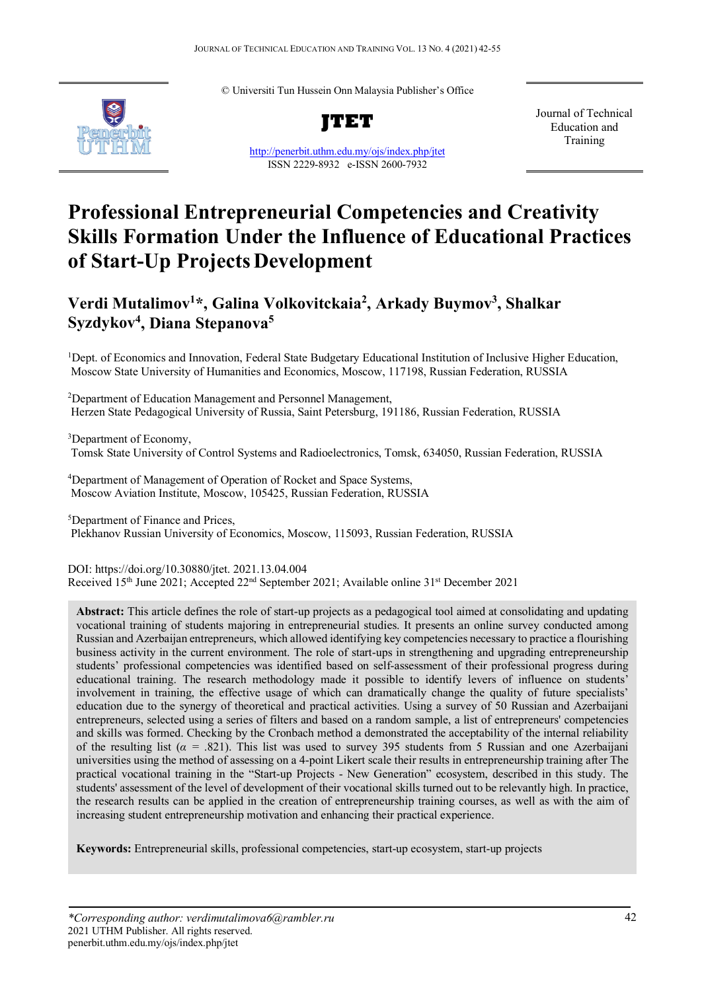© Universiti Tun Hussein Onn Malaysia Publisher's Office



**JTET**

<http://penerbit.uthm.edu.my/ojs/index.php/jtet> ISSN 2229-8932 e-ISSN 2600-7932

Journal of Technical Education and Training

# **Professional Entrepreneurial Competencies and Creativity Skills Formation Under the Influence of Educational Practices of Start-Up ProjectsDevelopment**

## **Verdi Mutalimov1 \*, Galina Volkovitckaia2 , Arkady Buymov3 , Shalkar Syzdykov4 , Diana Stepanova5**

<sup>1</sup>Dept. of Economics and Innovation, Federal State Budgetary Educational Institution of Inclusive Higher Education, Moscow State University of Humanities and Economics, Moscow, 117198, Russian Federation, RUSSIA

<sup>2</sup>Department of Education Management and Personnel Management, Herzen State Pedagogical University of Russia, Saint Petersburg, 191186, Russian Federation, RUSSIA

<sup>3</sup>Department of Economy, Tomsk State University of Control Systems and Radioelectronics, Tomsk, 634050, Russian Federation, RUSSIA

<sup>4</sup>Department of Management of Operation of Rocket and Space Systems, Moscow Aviation Institute, Moscow, 105425, Russian Federation, RUSSIA

5 Department of Finance and Prices, Plekhanov Russian University of Economics, Moscow, 115093, Russian Federation, RUSSIA

DOI: https://doi.org/10.30880/jtet. 2021.13.04.004 Received 15<sup>th</sup> June 2021; Accepted 22<sup>nd</sup> September 2021; Available online 31<sup>st</sup> December 2021

**Abstract:** This article defines the role of start-up projects as a pedagogical tool aimed at consolidating and updating vocational training of students majoring in entrepreneurial studies. It presents an online survey conducted among Russian and Azerbaijan entrepreneurs, which allowed identifying key competencies necessary to practice a flourishing business activity in the current environment. The role of start-ups in strengthening and upgrading entrepreneurship students' professional competencies was identified based on self-assessment of their professional progress during educational training. The research methodology made it possible to identify levers of influence on students' involvement in training, the effective usage of which can dramatically change the quality of future specialists' education due to the synergy of theoretical and practical activities. Using a survey of 50 Russian and Azerbaijani entrepreneurs, selected using a series of filters and based on a random sample, a list of entrepreneurs' competencies and skills was formed. Checking by the Cronbach method a demonstrated the acceptability of the internal reliability of the resulting list (*α =* .821). This list was used to survey 395 students from 5 Russian and one Azerbaijani universities using the method of assessing on a 4-point Likert scale their results in entrepreneurship training after The practical vocational training in the "Start-up Projects - New Generation" ecosystem, described in this study. The students' assessment of the level of development of their vocational skills turned out to be relevantly high. In practice, the research results can be applied in the creation of entrepreneurship training courses, as well as with the aim of increasing student entrepreneurship motivation and enhancing their practical experience.

**Keywords:** Entrepreneurial skills, professional competencies, start-up ecosystem, start-up projects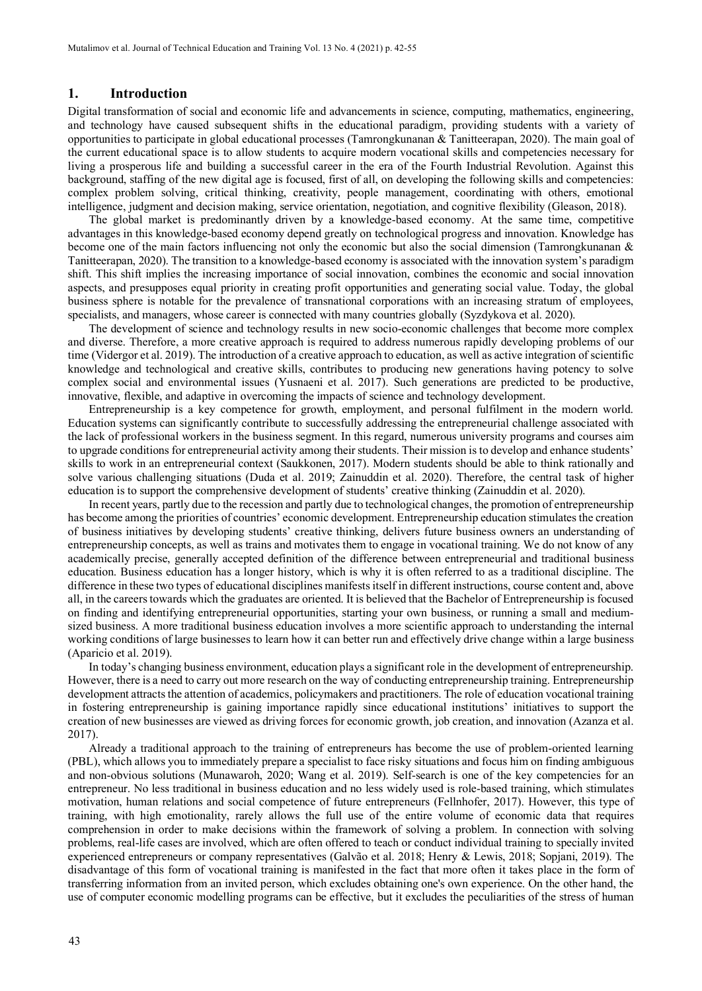#### **1. Introduction**

Digital transformation of social and economic life and advancements in science, computing, mathematics, engineering, and technology have caused subsequent shifts in the educational paradigm, providing students with a variety of opportunities to participate in global educational processes (Tamrongkunanan & Tanitteerapan, 2020). The main goal of the current educational space is to allow students to acquire modern vocational skills and competencies necessary for living a prosperous life and building a successful career in the era of the Fourth Industrial Revolution. Against this background, staffing of the new digital age is focused, first of all, on developing the following skills and competencies: complex problem solving, critical thinking, creativity, people management, coordinating with others, emotional intelligence, judgment and decision making, service orientation, negotiation, and cognitive flexibility (Gleason, 2018).

The global market is predominantly driven by a knowledge-based economy. At the same time, competitive advantages in this knowledge-based economy depend greatly on technological progress and innovation. Knowledge has become one of the main factors influencing not only the economic but also the social dimension (Tamrongkunanan & Tanitteerapan, 2020). The transition to a knowledge-based economy is associated with the innovation system's paradigm shift. This shift implies the increasing importance of social innovation, combines the economic and social innovation aspects, and presupposes equal priority in creating profit opportunities and generating social value. Today, the global business sphere is notable for the prevalence of transnational corporations with an increasing stratum of employees, specialists, and managers, whose career is connected with many countries globally (Syzdykova et al. 2020).

The development of science and technology results in new socio-economic challenges that become more complex and diverse. Therefore, a more creative approach is required to address numerous rapidly developing problems of our time (Vidergor et al. 2019). The introduction of a creative approach to education, as well as active integration of scientific knowledge and technological and creative skills, contributes to producing new generations having potency to solve complex social and environmental issues (Yusnaeni et al. 2017). Such generations are predicted to be productive, innovative, flexible, and adaptive in overcoming the impacts of science and technology development.

Entrepreneurship is a key competence for growth, employment, and personal fulfilment in the modern world. Education systems can significantly contribute to successfully addressing the entrepreneurial challenge associated with the lack of professional workers in the business segment. In this regard, numerous university programs and courses aim to upgrade conditions for entrepreneurial activity among their students. Their mission is to develop and enhance students' skills to work in an entrepreneurial context (Saukkonen, 2017). Modern students should be able to think rationally and solve various challenging situations (Duda et al. 2019; Zainuddin et al. 2020). Therefore, the central task of higher education is to support the comprehensive development of students' creative thinking (Zainuddin et al. 2020).

In recent years, partly due to the recession and partly due to technological changes, the promotion of entrepreneurship has become among the priorities of countries' economic development. Entrepreneurship education stimulates the creation of business initiatives by developing students' creative thinking, delivers future business owners an understanding of entrepreneurship concepts, as well as trains and motivates them to engage in vocational training. We do not know of any academically precise, generally accepted definition of the difference between entrepreneurial and traditional business education. Business education has a longer history, which is why it is often referred to as a traditional discipline. The difference in these two types of educational disciplines manifests itself in different instructions, course content and, above all, in the careers towards which the graduates are oriented. It is believed that the Bachelor of Entrepreneurship is focused on finding and identifying entrepreneurial opportunities, starting your own business, or running a small and mediumsized business. A more traditional business education involves a more scientific approach to understanding the internal working conditions of large businesses to learn how it can better run and effectively drive change within a large business (Aparicio et al. 2019).

In today's changing business environment, education plays a significant role in the development of entrepreneurship. However, there is a need to carry out more research on the way of conducting entrepreneurship training. Entrepreneurship development attracts the attention of academics, policymakers and practitioners. The role of education vocational training in fostering entrepreneurship is gaining importance rapidly since educational institutions' initiatives to support the creation of new businesses are viewed as driving forces for economic growth, job creation, and innovation (Azanza et al. 2017).

Already a traditional approach to the training of entrepreneurs has become the use of problem-oriented learning (PBL), which allows you to immediately prepare a specialist to face risky situations and focus him on finding ambiguous and non-obvious solutions (Munawaroh, 2020; Wang et al. 2019). Self-search is one of the key competencies for an entrepreneur. No less traditional in business education and no less widely used is role-based training, which stimulates motivation, human relations and social competence of future entrepreneurs (Fellnhofer, 2017). However, this type of training, with high emotionality, rarely allows the full use of the entire volume of economic data that requires comprehension in order to make decisions within the framework of solving a problem. In connection with solving problems, real-life cases are involved, which are often offered to teach or conduct individual training to specially invited experienced entrepreneurs or company representatives (Galvão et al. 2018; Henry & Lewis, 2018; Sopjani, 2019). The disadvantage of this form of vocational training is manifested in the fact that more often it takes place in the form of transferring information from an invited person, which excludes obtaining one's own experience. On the other hand, the use of computer economic modelling programs can be effective, but it excludes the peculiarities of the stress of human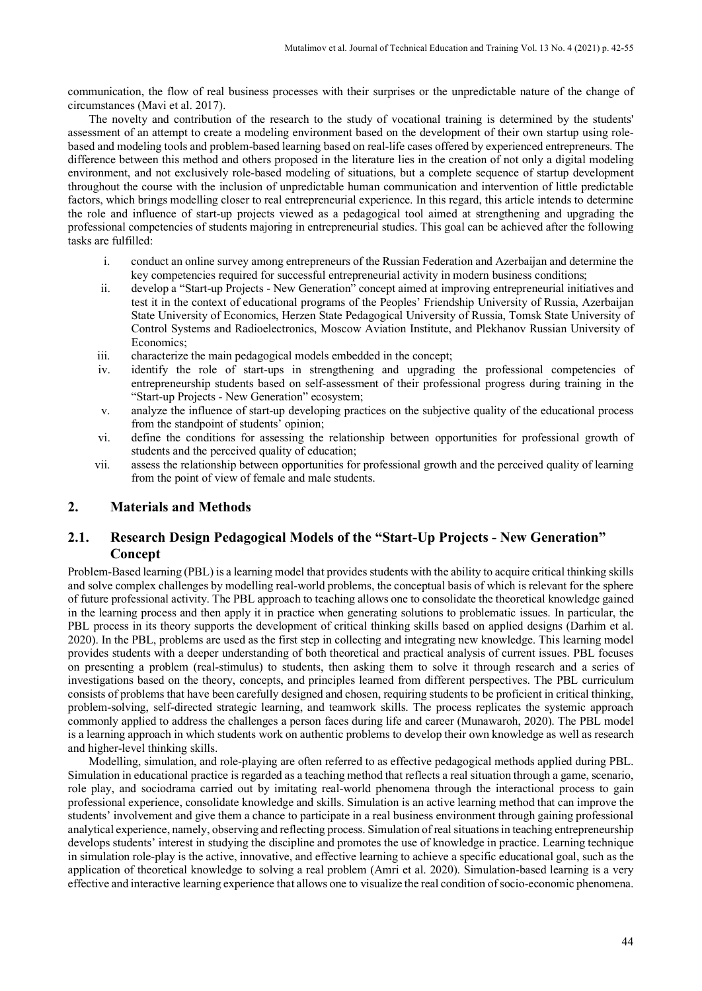communication, the flow of real business processes with their surprises or the unpredictable nature of the change of circumstances (Mavi et al. 2017).

The novelty and contribution of the research to the study of vocational training is determined by the students' assessment of an attempt to create a modeling environment based on the development of their own startup using rolebased and modeling tools and problem-based learning based on real-life cases offered by experienced entrepreneurs. The difference between this method and others proposed in the literature lies in the creation of not only a digital modeling environment, and not exclusively role-based modeling of situations, but a complete sequence of startup development throughout the course with the inclusion of unpredictable human communication and intervention of little predictable factors, which brings modelling closer to real entrepreneurial experience. In this regard, this article intends to determine the role and influence of start-up projects viewed as a pedagogical tool aimed at strengthening and upgrading the professional competencies of students majoring in entrepreneurial studies. This goal can be achieved after the following tasks are fulfilled:

- i. conduct an online survey among entrepreneurs of the Russian Federation and Azerbaijan and determine the key competencies required for successful entrepreneurial activity in modern business conditions;
- ii. develop a "Start-up Projects New Generation" concept aimed at improving entrepreneurial initiatives and test it in the context of educational programs of the Peoples' Friendship University of Russia, Azerbaijan State University of Economics, Herzen State Pedagogical University of Russia, Tomsk State University of Control Systems and Radioelectronics, Moscow Aviation Institute, and Plekhanov Russian University of Economics;
- iii. characterize the main pedagogical models embedded in the concept;
- iv. identify the role of start-ups in strengthening and upgrading the professional competencies of entrepreneurship students based on self-assessment of their professional progress during training in the "Start-up Projects - New Generation" ecosystem;
- v. analyze the influence of start-up developing practices on the subjective quality of the educational process from the standpoint of students' opinion;
- vi. define the conditions for assessing the relationship between opportunities for professional growth of students and the perceived quality of education;
- vii. assess the relationship between opportunities for professional growth and the perceived quality of learning from the point of view of female and male students.

## **2. Materials and Methods**

## **2.1. Research Design Pedagogical Models of the "Start-Up Projects - New Generation" Concept**

Problem-Based learning (PBL) is a learning model that provides students with the ability to acquire critical thinking skills and solve complex challenges by modelling real-world problems, the conceptual basis of which is relevant for the sphere of future professional activity. The PBL approach to teaching allows one to consolidate the theoretical knowledge gained in the learning process and then apply it in practice when generating solutions to problematic issues. In particular, the PBL process in its theory supports the development of critical thinking skills based on applied designs (Darhim et al. 2020). In the PBL, problems are used as the first step in collecting and integrating new knowledge. This learning model provides students with a deeper understanding of both theoretical and practical analysis of current issues. PBL focuses on presenting a problem (real-stimulus) to students, then asking them to solve it through research and a series of investigations based on the theory, concepts, and principles learned from different perspectives. The PBL curriculum consists of problems that have been carefully designed and chosen, requiring students to be proficient in critical thinking, problem-solving, self-directed strategic learning, and teamwork skills. The process replicates the systemic approach commonly applied to address the challenges a person faces during life and career (Munawaroh, 2020). The PBL model is a learning approach in which students work on authentic problems to develop their own knowledge as well as research and higher-level thinking skills.

Modelling, simulation, and role-playing are often referred to as effective pedagogical methods applied during PBL. Simulation in educational practice is regarded as a teaching method that reflects a real situation through a game, scenario, role play, and sociodrama carried out by imitating real-world phenomena through the interactional process to gain professional experience, consolidate knowledge and skills. Simulation is an active learning method that can improve the students' involvement and give them a chance to participate in a real business environment through gaining professional analytical experience, namely, observing and reflecting process. Simulation of real situations in teaching entrepreneurship develops students' interest in studying the discipline and promotes the use of knowledge in practice. Learning technique in simulation role-play is the active, innovative, and effective learning to achieve a specific educational goal, such as the application of theoretical knowledge to solving a real problem (Amri et al. 2020). Simulation-based learning is a very effective and interactive learning experience that allows one to visualize the real condition of socio-economic phenomena.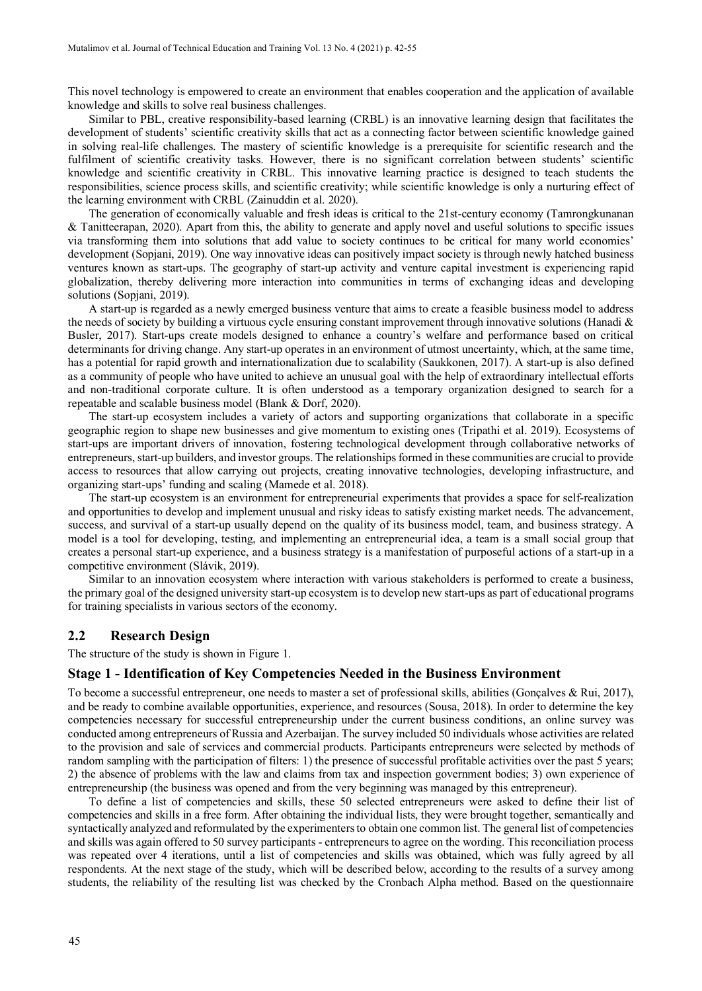This novel technology is empowered to create an environment that enables cooperation and the application of available knowledge and skills to solve real business challenges.

Similar to PBL, creative responsibility-based learning (CRBL) is an innovative learning design that facilitates the development of students' scientific creativity skills that act as a connecting factor between scientific knowledge gained in solving real-life challenges. The mastery of scientific knowledge is a prerequisite for scientific research and the fulfilment of scientific creativity tasks. However, there is no significant correlation between students' scientific knowledge and scientific creativity in CRBL. This innovative learning practice is designed to teach students the responsibilities, science process skills, and scientific creativity; while scientific knowledge is only a nurturing effect of the learning environment with CRBL (Zainuddin et al. 2020).

The generation of economically valuable and fresh ideas is critical to the 21st-century economy (Tamrongkunanan & Tanitteerapan, 2020). Apart from this, the ability to generate and apply novel and useful solutions to specific issues via transforming them into solutions that add value to society continues to be critical for many world economies' development (Sopjani, 2019). One way innovative ideas can positively impact society is through newly hatched business ventures known as start-ups. The geography of start-up activity and venture capital investment is experiencing rapid globalization, thereby delivering more interaction into communities in terms of exchanging ideas and developing solutions (Sopjani, 2019).

A start-up is regarded as a newly emerged business venture that aims to create a feasible business model to address the needs of society by building a virtuous cycle ensuring constant improvement through innovative solutions (Hanadi & Busler, 2017). Start-ups create models designed to enhance a country's welfare and performance based on critical determinants for driving change. Any start-up operates in an environment of utmost uncertainty, which, at the same time, has a potential for rapid growth and internationalization due to scalability (Saukkonen, 2017). A start-up is also defined as a community of people who have united to achieve an unusual goal with the help of extraordinary intellectual efforts and non-traditional corporate culture. It is often understood as a temporary organization designed to search for a repeatable and scalable business model (Blank & Dorf, 2020).

The start-up ecosystem includes a variety of actors and supporting organizations that collaborate in a specific geographic region to shape new businesses and give momentum to existing ones (Tripathi et al. 2019). Ecosystems of start-ups are important drivers of innovation, fostering technological development through collaborative networks of entrepreneurs, start-up builders, and investor groups. The relationships formed in these communities are crucial to provide access to resources that allow carrying out projects, creating innovative technologies, developing infrastructure, and organizing start-ups' funding and scaling (Mamede et al. 2018).

The start-up ecosystem is an environment for entrepreneurial experiments that provides a space for self-realization and opportunities to develop and implement unusual and risky ideas to satisfy existing market needs. The advancement, success, and survival of a start-up usually depend on the quality of its business model, team, and business strategy. A model is a tool for developing, testing, and implementing an entrepreneurial idea, a team is a small social group that creates a personal start-up experience, and a business strategy is a manifestation of purposeful actions of a start-up in a competitive environment (Slávik, 2019).

Similar to an innovation ecosystem where interaction with various stakeholders is performed to create a business, the primary goal of the designed university start-up ecosystem isto develop new start-ups as part of educational programs for training specialists in various sectors of the economy.

## **2.2 Research Design**

The structure of the study is shown in Figure 1.

#### **Stage 1 - Identification of Key Competencies Needed in the Business Environment**

To become a successful entrepreneur, one needs to master a set of professional skills, abilities (Gonçalves & Rui, 2017), and be ready to combine available opportunities, experience, and resources (Sousa, 2018). In order to determine the key competencies necessary for successful entrepreneurship under the current business conditions, an online survey was conducted among entrepreneurs of Russia and Azerbaijan. The survey included 50 individuals whose activities are related to the provision and sale of services and commercial products. Participants entrepreneurs were selected by methods of random sampling with the participation of filters: 1) the presence of successful profitable activities over the past 5 years; 2) the absence of problems with the law and claims from tax and inspection government bodies; 3) own experience of entrepreneurship (the business was opened and from the very beginning was managed by this entrepreneur).

To define a list of competencies and skills, these 50 selected entrepreneurs were asked to define their list of competencies and skills in a free form. After obtaining the individual lists, they were brought together, semantically and syntactically analyzed and reformulated by the experimenters to obtain one common list. The general list of competencies and skills was again offered to 50 survey participants - entrepreneurs to agree on the wording. This reconciliation process was repeated over 4 iterations, until a list of competencies and skills was obtained, which was fully agreed by all respondents. At the next stage of the study, which will be described below, according to the results of a survey among students, the reliability of the resulting list was checked by the Cronbach Alpha method. Based on the questionnaire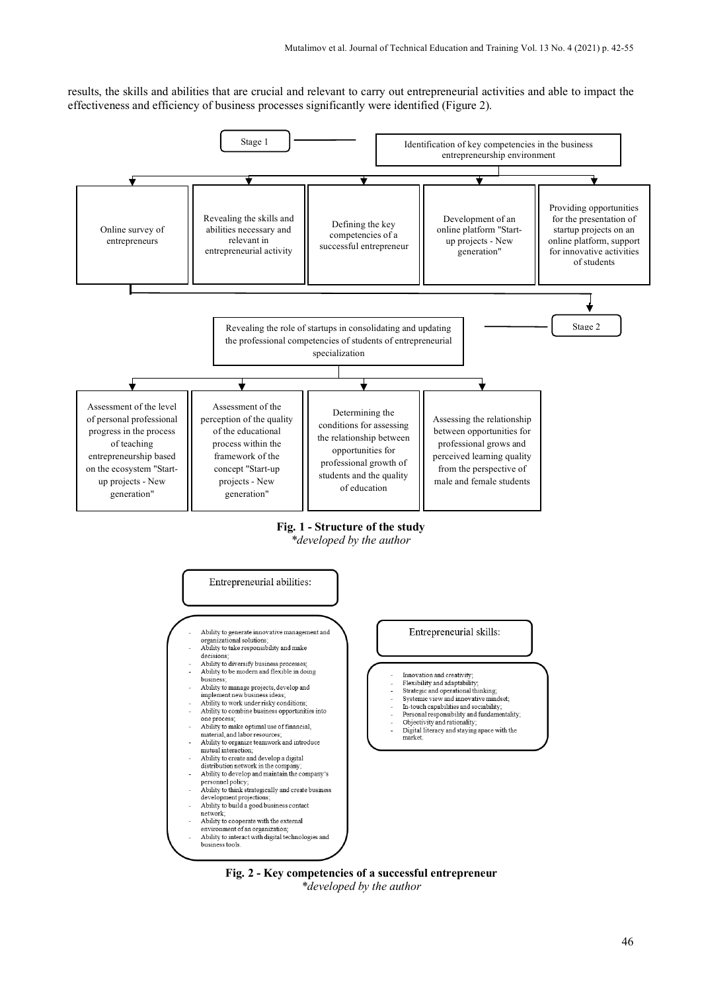results, the skills and abilities that are crucial and relevant to carry out entrepreneurial activities and able to impact the effectiveness and efficiency of business processes significantly were identified (Figure 2).



**Fig. 1 - Structure of the study**

*\*developed by the author*



**Fig. 2 - Key competencies of a successful entrepreneur** *\*developed by the author*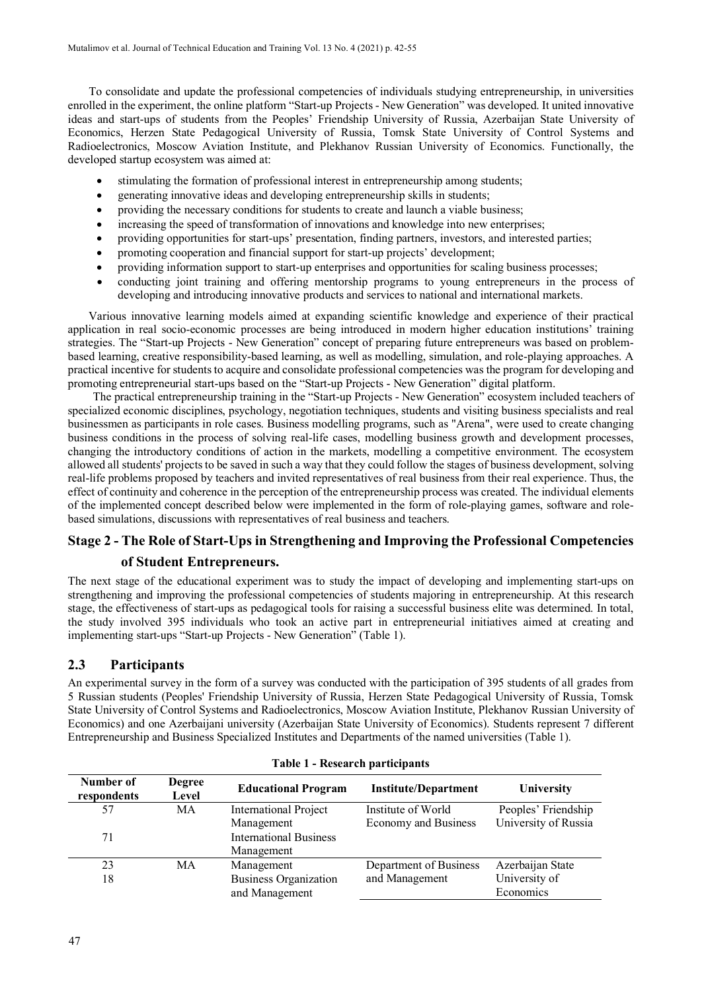To consolidate and update the professional competencies of individuals studying entrepreneurship, in universities enrolled in the experiment, the online platform "Start-up Projects - New Generation" was developed. It united innovative ideas and start-ups of students from the Peoples' Friendship University of Russia, Azerbaijan State University of Economics, Herzen State Pedagogical University of Russia, Tomsk State University of Control Systems and Radioelectronics, Moscow Aviation Institute, and Plekhanov Russian University of Economics. Functionally, the developed startup ecosystem was aimed at:

- stimulating the formation of professional interest in entrepreneurship among students;
- generating innovative ideas and developing entrepreneurship skills in students;
- providing the necessary conditions for students to create and launch a viable business;
- increasing the speed of transformation of innovations and knowledge into new enterprises;
- providing opportunities for start-ups' presentation, finding partners, investors, and interested parties;
- promoting cooperation and financial support for start-up projects' development;
- providing information support to start-up enterprises and opportunities for scaling business processes;
- conducting joint training and offering mentorship programs to young entrepreneurs in the process of developing and introducing innovative products and services to national and international markets.

Various innovative learning models aimed at expanding scientific knowledge and experience of their practical application in real socio-economic processes are being introduced in modern higher education institutions' training strategies. The "Start-up Projects - New Generation" concept of preparing future entrepreneurs was based on problembased learning, creative responsibility-based learning, as well as modelling, simulation, and role-playing approaches. A practical incentive for students to acquire and consolidate professional competencies was the program for developing and promoting entrepreneurial start-ups based on the "Start-up Projects - New Generation" digital platform.

The practical entrepreneurship training in the "Start-up Projects - New Generation" ecosystem included teachers of specialized economic disciplines, psychology, negotiation techniques, students and visiting business specialists and real businessmen as participants in role cases. Business modelling programs, such as "Arena", were used to create changing business conditions in the process of solving real-life cases, modelling business growth and development processes, changing the introductory conditions of action in the markets, modelling a competitive environment. The ecosystem allowed all students' projects to be saved in such a way that they could follow the stages of business development, solving real-life problems proposed by teachers and invited representatives of real business from their real experience. Thus, the effect of continuity and coherence in the perception of the entrepreneurship process was created. The individual elements of the implemented concept described below were implemented in the form of role-playing games, software and rolebased simulations, discussions with representatives of real business and teachers.

## **Stage 2 - The Role of Start-Ups in Strengthening and Improving the Professional Competencies of Student Entrepreneurs.**

The next stage of the educational experiment was to study the impact of developing and implementing start-ups on strengthening and improving the professional competencies of students majoring in entrepreneurship. At this research stage, the effectiveness of start-ups as pedagogical tools for raising a successful business elite was determined. In total, the study involved 395 individuals who took an active part in entrepreneurial initiatives aimed at creating and implementing start-ups "Start-up Projects - New Generation" (Table 1).

### **2.3 Participants**

An experimental survey in the form of a survey was conducted with the participation of 395 students of all grades from 5 Russian students (Peoples' Friendship University of Russia, Herzen State Pedagogical University of Russia, Tomsk State University of Control Systems and Radioelectronics, Moscow Aviation Institute, Plekhanov Russian University of Economics) and one Azerbaijani university (Azerbaijan State University of Economics). Students represent 7 different Entrepreneurship and Business Specialized Institutes and Departments of the named universities (Table 1).

| Number of<br>respondents | <b>Degree</b><br>Level | <b>Educational Program</b>    | <b>Institute/Department</b> | University           |  |  |
|--------------------------|------------------------|-------------------------------|-----------------------------|----------------------|--|--|
| 57                       | МA                     | <b>International Project</b>  | Institute of World          | Peoples' Friendship  |  |  |
|                          |                        | Management                    | <b>Economy and Business</b> | University of Russia |  |  |
| 71                       |                        | <b>International Business</b> |                             |                      |  |  |
|                          |                        | Management                    |                             |                      |  |  |
| 23                       | MA                     | Management                    | Department of Business      | Azerbaijan State     |  |  |
| 18                       |                        | <b>Business Organization</b>  | and Management              | University of        |  |  |
|                          |                        | and Management                |                             | Economics            |  |  |

#### **Table 1 - Research participants**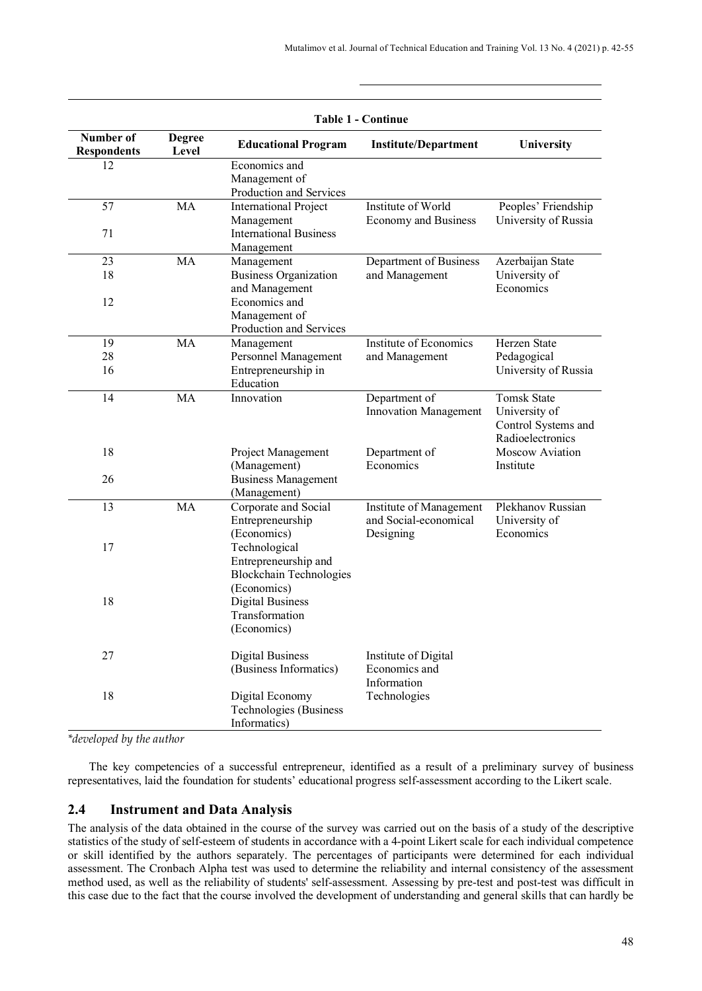| <b>Table 1 - Continue</b>       |                        |                                                                                        |                                                               |                                                                                |  |  |
|---------------------------------|------------------------|----------------------------------------------------------------------------------------|---------------------------------------------------------------|--------------------------------------------------------------------------------|--|--|
| Number of<br><b>Respondents</b> | <b>Degree</b><br>Level | <b>Educational Program</b>                                                             | University                                                    |                                                                                |  |  |
| 12                              |                        | Economics and<br>Management of<br>Production and Services                              |                                                               |                                                                                |  |  |
| 57                              | MA                     | <b>International Project</b><br>Management<br><b>International Business</b>            | Institute of World<br><b>Economy and Business</b>             | Peoples' Friendship<br>University of Russia                                    |  |  |
| 71                              |                        | Management                                                                             |                                                               |                                                                                |  |  |
| 23                              | MA                     | Management                                                                             | Department of Business                                        | Azerbaijan State                                                               |  |  |
| 18                              |                        | <b>Business Organization</b><br>and Management                                         | and Management                                                | University of<br>Economics                                                     |  |  |
| 12                              |                        | Economics and<br>Management of<br>Production and Services                              |                                                               |                                                                                |  |  |
| 19                              | MA                     | Management                                                                             | Institute of Economics                                        | Herzen State                                                                   |  |  |
| 28                              |                        | Personnel Management                                                                   | and Management                                                | Pedagogical                                                                    |  |  |
| 16                              |                        | Entrepreneurship in<br>Education                                                       |                                                               | University of Russia                                                           |  |  |
| 14                              | MA                     | Innovation                                                                             | Department of<br><b>Innovation Management</b>                 | <b>Tomsk State</b><br>University of<br>Control Systems and<br>Radioelectronics |  |  |
| 18                              |                        | Project Management<br>(Management)                                                     | Department of<br>Economics                                    | Moscow Aviation<br>Institute                                                   |  |  |
| 26                              |                        | <b>Business Management</b><br>(Management)                                             |                                                               |                                                                                |  |  |
| 13                              | MA                     | Corporate and Social<br>Entrepreneurship<br>(Economics)                                | Institute of Management<br>and Social-economical<br>Designing | Plekhanov Russian<br>University of<br>Economics                                |  |  |
| 17                              |                        | Technological<br>Entrepreneurship and<br><b>Blockchain Technologies</b><br>(Economics) |                                                               |                                                                                |  |  |
| 18                              |                        | <b>Digital Business</b><br>Transformation<br>(Economics)                               |                                                               |                                                                                |  |  |
| 27                              |                        | <b>Digital Business</b><br>(Business Informatics)                                      | Institute of Digital<br>Economics and<br>Information          |                                                                                |  |  |
| 18                              |                        | Digital Economy<br>Technologies (Business<br>Informatics)                              | Technologies                                                  |                                                                                |  |  |

*\*developed by the author*

The key competencies of a successful entrepreneur, identified as a result of a preliminary survey of business representatives, laid the foundation for students' educational progress self-assessment according to the Likert scale.

### **2.4 Instrument and Data Analysis**

The analysis of the data obtained in the course of the survey was carried out on the basis of a study of the descriptive statistics of the study of self-esteem of students in accordance with a 4-point Likert scale for each individual competence or skill identified by the authors separately. The percentages of participants were determined for each individual assessment. The Cronbach Alpha test was used to determine the reliability and internal consistency of the assessment method used, as well as the reliability of students' self-assessment. Assessing by pre-test and post-test was difficult in this case due to the fact that the course involved the development of understanding and general skills that can hardly be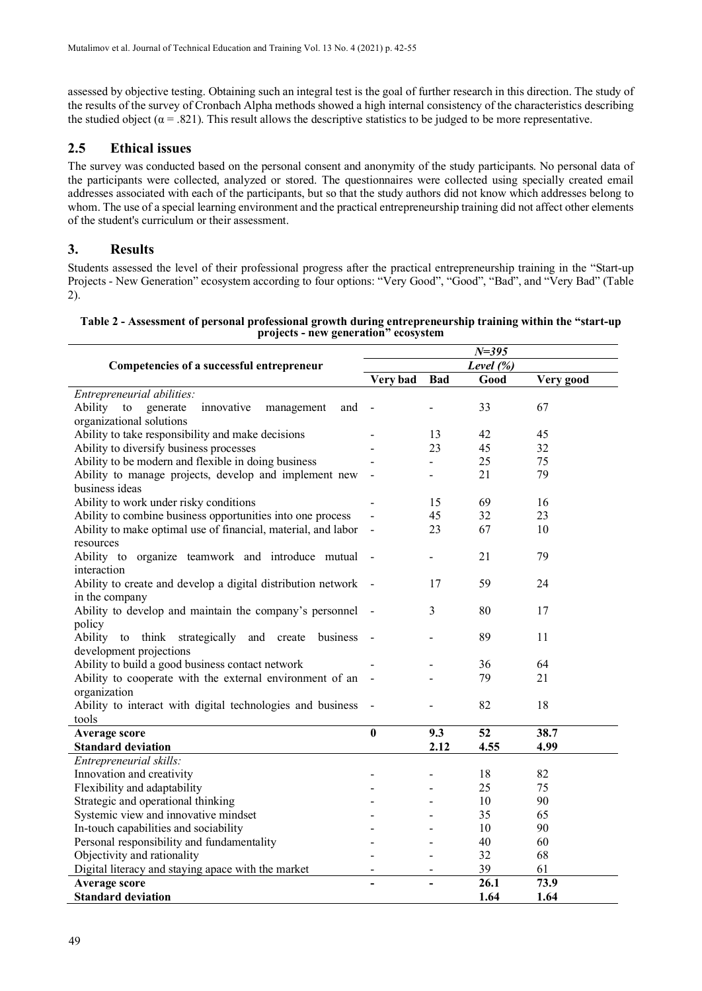assessed by objective testing. Obtaining such an integral test is the goal of further research in this direction. The study of the results of the survey of Cronbach Alpha methods showed a high internal consistency of the characteristics describing the studied object ( $\alpha = .821$ ). This result allows the descriptive statistics to be judged to be more representative.

## **2.5 Ethical issues**

The survey was conducted based on the personal consent and anonymity of the study participants. No personal data of the participants were collected, analyzed or stored. The questionnaires were collected using specially created email addresses associated with each of the participants, but so that the study authors did not know which addresses belong to whom. The use of a special learning environment and the practical entrepreneurship training did not affect other elements of the student's curriculum or their assessment.

## **3. Results**

Students assessed the level of their professional progress after the practical entrepreneurship training in the "Start-up Projects - New Generation" ecosystem according to four options: "Very Good", "Good", "Bad", and "Very Bad" (Table 2).

| Table 2 - Assessment of personal professional growth during entrepreneurship training within the "start-up |  |
|------------------------------------------------------------------------------------------------------------|--|
| projects - new generation" ecosystem                                                                       |  |

|                                                                         | $N = 395$   |                |      |           |  |
|-------------------------------------------------------------------------|-------------|----------------|------|-----------|--|
| Competencies of a successful entrepreneur                               | Level $(%)$ |                |      |           |  |
|                                                                         | Very bad    | <b>Bad</b>     | Good | Very good |  |
| Entrepreneurial abilities:                                              |             |                |      |           |  |
| Ability<br>innovative<br>${\rm to}$<br>generate<br>management<br>and    |             |                | 33   | 67        |  |
| organizational solutions                                                |             |                |      |           |  |
| Ability to take responsibility and make decisions                       |             | 13             | 42   | 45        |  |
| Ability to diversify business processes                                 |             | 23             | 45   | 32        |  |
| Ability to be modern and flexible in doing business                     |             | $\overline{a}$ | 25   | 75        |  |
| Ability to manage projects, develop and implement new<br>business ideas |             |                | 21   | 79        |  |
| Ability to work under risky conditions                                  |             | 15             | 69   | 16        |  |
| Ability to combine business opportunities into one process              |             | 45             | 32   | 23        |  |
| Ability to make optimal use of financial, material, and labor           |             | 23             | 67   | 10        |  |
| resources                                                               |             |                |      |           |  |
| Ability to organize teamwork and introduce mutual<br>interaction        |             |                | 21   | 79        |  |
| Ability to create and develop a digital distribution network            |             | 17             | 59   | 24        |  |
| in the company                                                          |             |                |      |           |  |
| Ability to develop and maintain the company's personnel                 |             | 3              | 80   | 17        |  |
| policy                                                                  |             |                |      |           |  |
| Ability to think strategically and create business                      |             |                | 89   | 11        |  |
| development projections                                                 |             |                |      |           |  |
| Ability to build a good business contact network                        |             |                | 36   | 64        |  |
| Ability to cooperate with the external environment of an                |             |                | 79   | 21        |  |
| organization                                                            |             |                |      |           |  |
| Ability to interact with digital technologies and business              |             |                | 82   | 18        |  |
| tools                                                                   |             |                |      |           |  |
| <b>Average score</b>                                                    | $\bf{0}$    | 9.3            | 52   | 38.7      |  |
| <b>Standard deviation</b>                                               |             | 2.12           | 4.55 | 4.99      |  |
| Entrepreneurial skills:                                                 |             |                |      |           |  |
| Innovation and creativity                                               |             |                | 18   | 82        |  |
| Flexibility and adaptability                                            |             |                | 25   | 75        |  |
| Strategic and operational thinking                                      |             |                | 10   | 90        |  |
| Systemic view and innovative mindset                                    |             |                | 35   | 65        |  |
| In-touch capabilities and sociability                                   |             |                | 10   | 90        |  |
| Personal responsibility and fundamentality                              |             |                | 40   | 60        |  |
| Objectivity and rationality                                             |             |                | 32   | 68        |  |
| Digital literacy and staying apace with the market                      |             |                | 39   | 61        |  |
| Average score                                                           |             |                | 26.1 | 73.9      |  |
| <b>Standard deviation</b>                                               |             |                | 1.64 | 1.64      |  |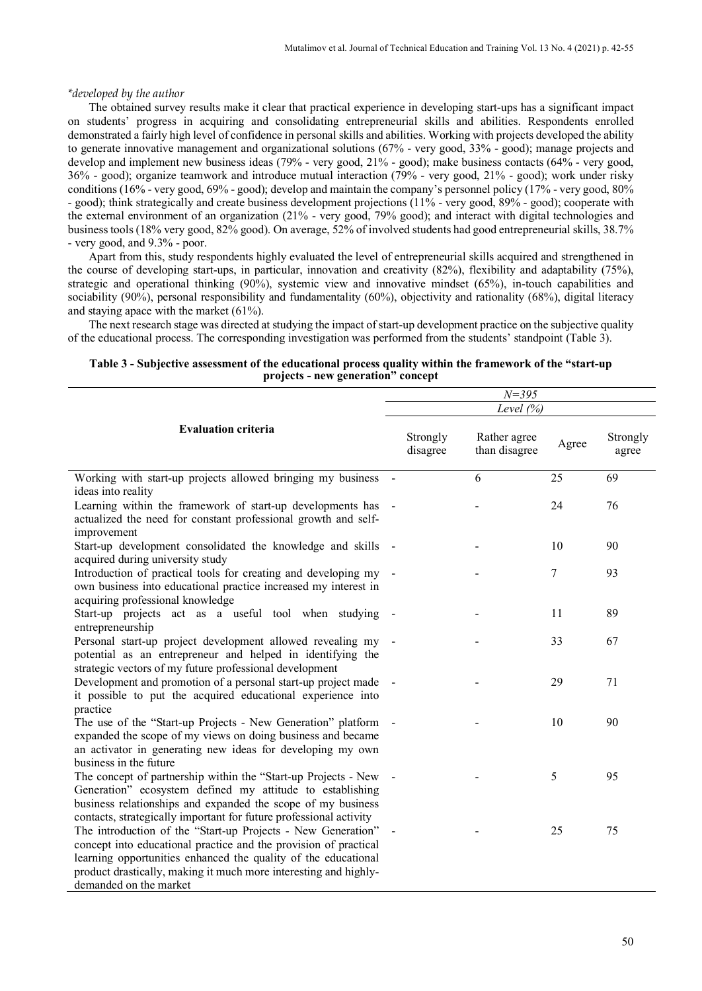#### *\*developed by the author*

The obtained survey results make it clear that practical experience in developing start-ups has a significant impact on students' progress in acquiring and consolidating entrepreneurial skills and abilities. Respondents enrolled demonstrated a fairly high level of confidence in personal skills and abilities. Working with projects developed the ability to generate innovative management and organizational solutions (67% - very good, 33% - good); manage projects and develop and implement new business ideas (79% - very good, 21% - good); make business contacts (64% - very good, 36% - good); organize teamwork and introduce mutual interaction (79% - very good, 21% - good); work under risky conditions (16% - very good, 69% - good); develop and maintain the company's personnel policy (17% - very good, 80% - good); think strategically and create business development projections (11% - very good, 89% - good); cooperate with the external environment of an organization (21% - very good, 79% good); and interact with digital technologies and business tools (18% very good, 82% good). On average, 52% of involved students had good entrepreneurial skills, 38.7% - very good, and 9.3% - poor.

Apart from this, study respondents highly evaluated the level of entrepreneurial skills acquired and strengthened in the course of developing start-ups, in particular, innovation and creativity (82%), flexibility and adaptability (75%), strategic and operational thinking (90%), systemic view and innovative mindset (65%), in-touch capabilities and sociability (90%), personal responsibility and fundamentality (60%), objectivity and rationality (68%), digital literacy and staying apace with the market (61%).

The next research stage was directed at studying the impact of start-up development practice on the subjective quality of the educational process. The corresponding investigation was performed from the students' standpoint (Table 3).

|                                                                                                                                                                                                                                                                                                  | $N = 395$ |                      |                               |       |                   |
|--------------------------------------------------------------------------------------------------------------------------------------------------------------------------------------------------------------------------------------------------------------------------------------------------|-----------|----------------------|-------------------------------|-------|-------------------|
|                                                                                                                                                                                                                                                                                                  |           |                      | Level $(%)$                   |       |                   |
| <b>Evaluation criteria</b>                                                                                                                                                                                                                                                                       |           | Strongly<br>disagree | Rather agree<br>than disagree | Agree | Strongly<br>agree |
| Working with start-up projects allowed bringing my business                                                                                                                                                                                                                                      |           |                      | 6                             | 25    | 69                |
| ideas into reality                                                                                                                                                                                                                                                                               |           |                      |                               |       |                   |
| Learning within the framework of start-up developments has -<br>actualized the need for constant professional growth and self-<br>improvement                                                                                                                                                    |           |                      |                               | 24    | 76                |
| Start-up development consolidated the knowledge and skills -<br>acquired during university study                                                                                                                                                                                                 |           |                      |                               | 10    | 90                |
| Introduction of practical tools for creating and developing my<br>own business into educational practice increased my interest in<br>acquiring professional knowledge                                                                                                                            |           |                      |                               | 7     | 93                |
| Start-up projects act as a useful tool when studying<br>entrepreneurship                                                                                                                                                                                                                         |           |                      |                               | 11    | 89                |
| Personal start-up project development allowed revealing my<br>potential as an entrepreneur and helped in identifying the<br>strategic vectors of my future professional development                                                                                                              |           |                      |                               | 33    | 67                |
| Development and promotion of a personal start-up project made<br>it possible to put the acquired educational experience into<br>practice                                                                                                                                                         |           |                      |                               | 29    | 71                |
| The use of the "Start-up Projects - New Generation" platform<br>expanded the scope of my views on doing business and became<br>an activator in generating new ideas for developing my own<br>business in the future                                                                              |           |                      |                               | 10    | 90                |
| The concept of partnership within the "Start-up Projects - New<br>Generation" ecosystem defined my attitude to establishing<br>business relationships and expanded the scope of my business<br>contacts, strategically important for future professional activity                                |           |                      |                               | 5     | 95                |
| The introduction of the "Start-up Projects - New Generation"<br>concept into educational practice and the provision of practical<br>learning opportunities enhanced the quality of the educational<br>product drastically, making it much more interesting and highly-<br>demanded on the market |           |                      |                               | 25    | 75                |

#### **Table 3 - Subjective assessment of the educational process quality within the framework of the "start-up projects - new generation" concept**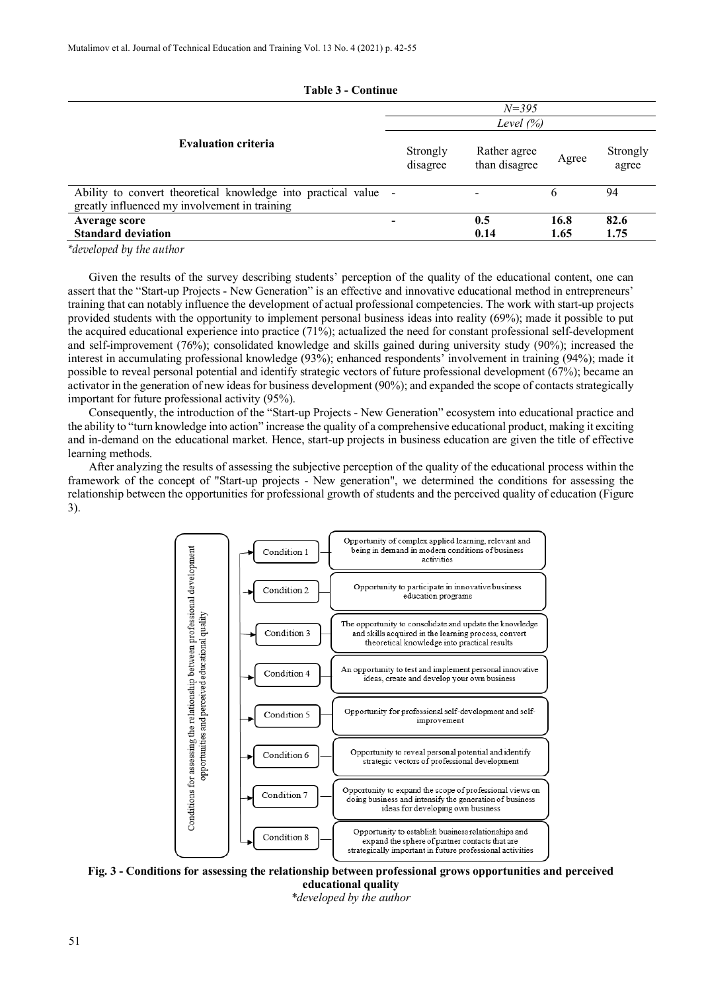| Table 3 - Continue                                                                                               |                      |                                        |              |                   |  |  |  |  |
|------------------------------------------------------------------------------------------------------------------|----------------------|----------------------------------------|--------------|-------------------|--|--|--|--|
|                                                                                                                  | $N = 395$            |                                        |              |                   |  |  |  |  |
|                                                                                                                  | Level $(\% )$        |                                        |              |                   |  |  |  |  |
| <b>Evaluation criteria</b>                                                                                       | Strongly<br>disagree | Rather agree<br>Agree<br>than disagree |              | Strongly<br>agree |  |  |  |  |
| Ability to convert theoretical knowledge into practical value -<br>greatly influenced my involvement in training |                      |                                        | 6            | 94                |  |  |  |  |
| Average score<br><b>Standard deviation</b>                                                                       |                      | 0.5<br>0.14                            | 16.8<br>1.65 | 82.6<br>1.75      |  |  |  |  |

**Table 3 - Continue**

*\*developed by the author*

Given the results of the survey describing students' perception of the quality of the educational content, one can assert that the "Start-up Projects - New Generation" is an effective and innovative educational method in entrepreneurs' training that can notably influence the development of actual professional competencies. The work with start-up projects provided students with the opportunity to implement personal business ideas into reality (69%); made it possible to put the acquired educational experience into practice (71%); actualized the need for constant professional self-development and self-improvement (76%); consolidated knowledge and skills gained during university study (90%); increased the interest in accumulating professional knowledge (93%); enhanced respondents' involvement in training (94%); made it possible to reveal personal potential and identify strategic vectors of future professional development (67%); became an activator in the generation of new ideas for business development (90%); and expanded the scope of contacts strategically important for future professional activity (95%).

Consequently, the introduction of the "Start-up Projects - New Generation" ecosystem into educational practice and the ability to "turn knowledge into action" increase the quality of a comprehensive educational product, making it exciting and in-demand on the educational market. Hence, start-up projects in business education are given the title of effective learning methods.

After analyzing the results of assessing the subjective perception of the quality of the educational process within the framework of the concept of "Start-up projects - New generation", we determined the conditions for assessing the relationship between the opportunities for professional growth of students and the perceived quality of education (Figure 3).



**Fig. 3 - Conditions for assessing the relationship between professional grows opportunities and perceived educational quality** *\*developed by the author*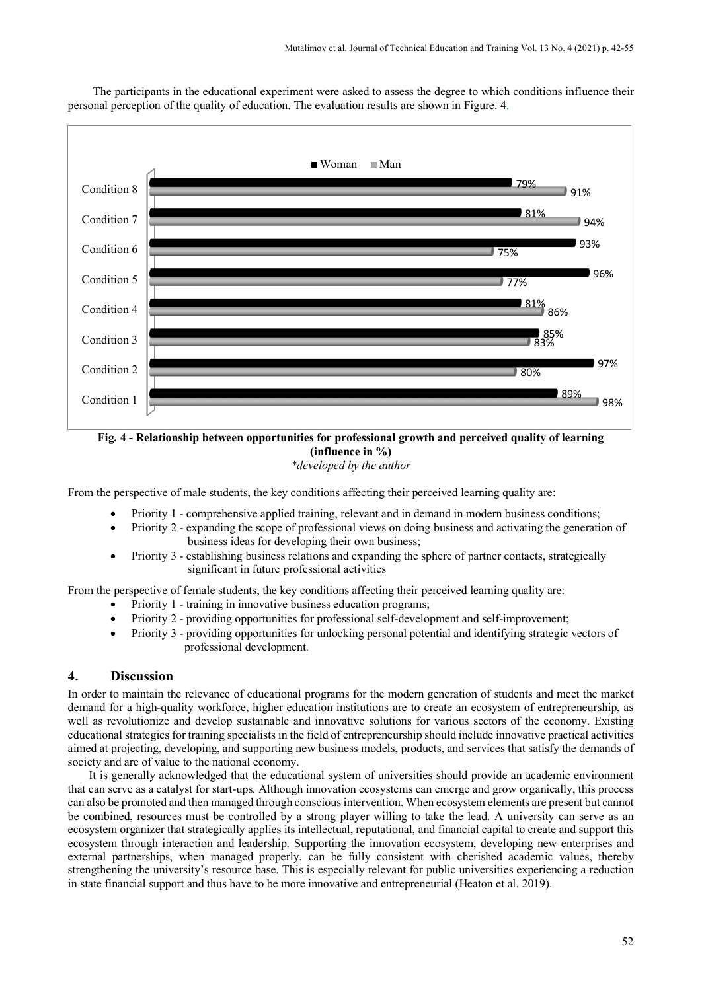

The participants in the educational experiment were asked to assess the degree to which conditions influence their personal perception of the quality of education. The evaluation results are shown in Figure. 4.

#### **Fig. 4 - Relationship between opportunities for professional growth and perceived quality of learning (influence in %)** *\*developed by the author*

From the perspective of male students, the key conditions affecting their perceived learning quality are:

- Priority 1 comprehensive applied training, relevant and in demand in modern business conditions;
- Priority 2 expanding the scope of professional views on doing business and activating the generation of business ideas for developing their own business;
- Priority 3 establishing business relations and expanding the sphere of partner contacts, strategically significant in future professional activities

From the perspective of female students, the key conditions affecting their perceived learning quality are:

- Priority 1 training in innovative business education programs;
- Priority 2 providing opportunities for professional self-development and self-improvement;
- Priority 3 providing opportunities for unlocking personal potential and identifying strategic vectors of professional development.

## **4. Discussion**

In order to maintain the relevance of educational programs for the modern generation of students and meet the market demand for a high-quality workforce, higher education institutions are to create an ecosystem of entrepreneurship, as well as revolutionize and develop sustainable and innovative solutions for various sectors of the economy. Existing educational strategies for training specialists in the field of entrepreneurship should include innovative practical activities aimed at projecting, developing, and supporting new business models, products, and services that satisfy the demands of society and are of value to the national economy.

It is generally acknowledged that the educational system of universities should provide an academic environment that can serve as a catalyst for start-ups. Although innovation ecosystems can emerge and grow organically, this process can also be promoted and then managed through conscious intervention. When ecosystem elements are present but cannot be combined, resources must be controlled by a strong player willing to take the lead. A university can serve as an ecosystem organizer that strategically applies its intellectual, reputational, and financial capital to create and support this ecosystem through interaction and leadership. Supporting the innovation ecosystem, developing new enterprises and external partnerships, when managed properly, can be fully consistent with cherished academic values, thereby strengthening the university's resource base. This is especially relevant for public universities experiencing a reduction in state financial support and thus have to be more innovative and entrepreneurial (Heaton et al. 2019).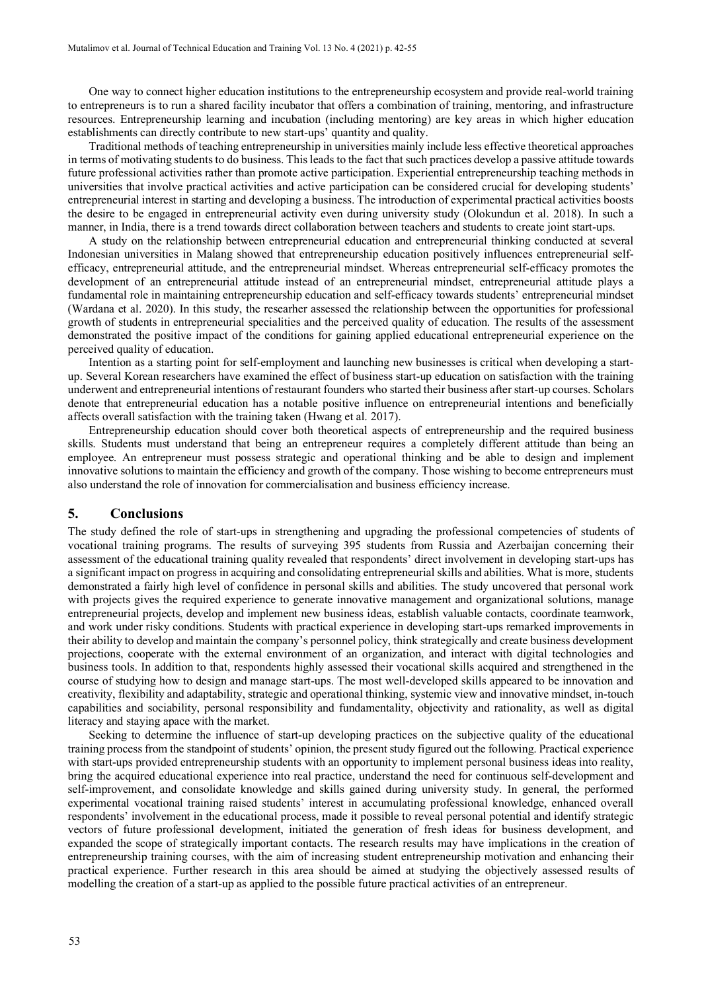One way to connect higher education institutions to the entrepreneurship ecosystem and provide real-world training to entrepreneurs is to run a shared facility incubator that offers a combination of training, mentoring, and infrastructure resources. Entrepreneurship learning and incubation (including mentoring) are key areas in which higher education establishments can directly contribute to new start-ups' quantity and quality.

Traditional methods of teaching entrepreneurship in universities mainly include less effective theoretical approaches in terms of motivating students to do business. This leads to the fact that such practices develop a passive attitude towards future professional activities rather than promote active participation. Experiential entrepreneurship teaching methods in universities that involve practical activities and active participation can be considered crucial for developing students' entrepreneurial interest in starting and developing a business. The introduction of experimental practical activities boosts the desire to be engaged in entrepreneurial activity even during university study (Olokundun et al. 2018). In such a manner, in India, there is a trend towards direct collaboration between teachers and students to create joint start-ups.

A study on the relationship between entrepreneurial education and entrepreneurial thinking conducted at several Indonesian universities in Malang showed that entrepreneurship education positively influences entrepreneurial selfefficacy, entrepreneurial attitude, and the entrepreneurial mindset. Whereas entrepreneurial self-efficacy promotes the development of an entrepreneurial attitude instead of an entrepreneurial mindset, entrepreneurial attitude plays a fundamental role in maintaining entrepreneurship education and self-efficacy towards students' entrepreneurial mindset (Wardana et al. 2020). In this study, the researher assessed the relationship between the opportunities for professional growth of students in entrepreneurial specialities and the perceived quality of education. The results of the assessment demonstrated the positive impact of the conditions for gaining applied educational entrepreneurial experience on the perceived quality of education.

Intention as a starting point for self-employment and launching new businesses is critical when developing a startup. Several Korean researchers have examined the effect of business start-up education on satisfaction with the training underwent and entrepreneurial intentions of restaurant founders who started their business after start-up courses. Scholars denote that entrepreneurial education has a notable positive influence on entrepreneurial intentions and beneficially affects overall satisfaction with the training taken (Hwang et al. 2017).

Entrepreneurship education should cover both theoretical aspects of entrepreneurship and the required business skills. Students must understand that being an entrepreneur requires a completely different attitude than being an employee. An entrepreneur must possess strategic and operational thinking and be able to design and implement innovative solutions to maintain the efficiency and growth of the company. Those wishing to become entrepreneurs must also understand the role of innovation for commercialisation and business efficiency increase.

#### **5. Conclusions**

The study defined the role of start-ups in strengthening and upgrading the professional competencies of students of vocational training programs. The results of surveying 395 students from Russia and Azerbaijan concerning their assessment of the educational training quality revealed that respondents' direct involvement in developing start-ups has a significant impact on progress in acquiring and consolidating entrepreneurial skills and abilities. What is more, students demonstrated a fairly high level of confidence in personal skills and abilities. The study uncovered that personal work with projects gives the required experience to generate innovative management and organizational solutions, manage entrepreneurial projects, develop and implement new business ideas, establish valuable contacts, coordinate teamwork, and work under risky conditions. Students with practical experience in developing start-ups remarked improvements in their ability to develop and maintain the company's personnel policy, think strategically and create business development projections, cooperate with the external environment of an organization, and interact with digital technologies and business tools. In addition to that, respondents highly assessed their vocational skills acquired and strengthened in the course of studying how to design and manage start-ups. The most well-developed skills appeared to be innovation and creativity, flexibility and adaptability, strategic and operational thinking, systemic view and innovative mindset, in-touch capabilities and sociability, personal responsibility and fundamentality, objectivity and rationality, as well as digital literacy and staying apace with the market.

Seeking to determine the influence of start-up developing practices on the subjective quality of the educational training process from the standpoint of students' opinion, the present study figured out the following. Practical experience with start-ups provided entrepreneurship students with an opportunity to implement personal business ideas into reality, bring the acquired educational experience into real practice, understand the need for continuous self-development and self-improvement, and consolidate knowledge and skills gained during university study. In general, the performed experimental vocational training raised students' interest in accumulating professional knowledge, enhanced overall respondents' involvement in the educational process, made it possible to reveal personal potential and identify strategic vectors of future professional development, initiated the generation of fresh ideas for business development, and expanded the scope of strategically important contacts. The research results may have implications in the creation of entrepreneurship training courses, with the aim of increasing student entrepreneurship motivation and enhancing their practical experience. Further research in this area should be aimed at studying the objectively assessed results of modelling the creation of a start-up as applied to the possible future practical activities of an entrepreneur.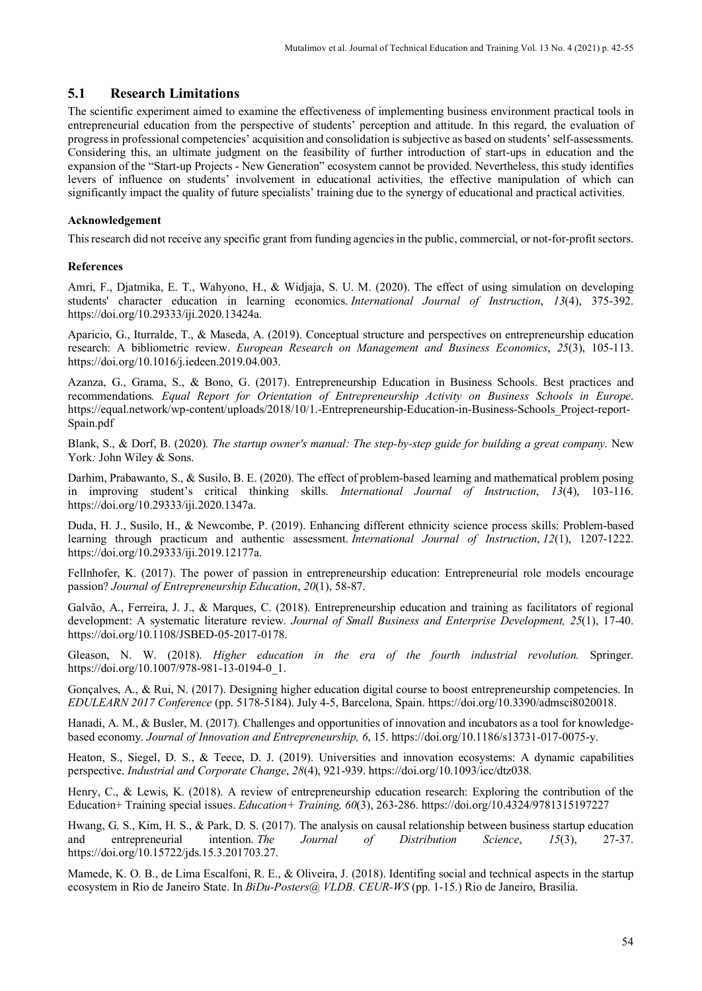## **5.1 Research Limitations**

The scientific experiment aimed to examine the effectiveness of implementing business environment practical tools in entrepreneurial education from the perspective of students' perception and attitude. In this regard, the evaluation of progress in professional competencies' acquisition and consolidation is subjective as based on students' self-assessments. Considering this, an ultimate judgment on the feasibility of further introduction of start-ups in education and the expansion of the "Start-up Projects - New Generation" ecosystem cannot be provided. Nevertheless, this study identifies levers of influence on students' involvement in educational activities, the effective manipulation of which can significantly impact the quality of future specialists' training due to the synergy of educational and practical activities.

#### **Acknowledgement**

This research did not receive any specific grant from funding agencies in the public, commercial, or not-for-profit sectors.

#### **References**

Amri, F., Djatmika, E. T., Wahyono, H., & Widjaja, S. U. M. (2020). The effect of using simulation on developing students' character education in learning economics. *International Journal of Instruction*, *13*(4), 375-392. https://doi.org/10.29333/iji.2020.13424a.

Aparicio, G., Iturralde, T., & Maseda, A. (2019). Conceptual structure and perspectives on entrepreneurship education research: A bibliometric review. *European Research on Management and Business Economics*, *25*(3), 105-113. https://doi.org/10.1016/j.iedeen.2019.04.003.

Azanza, G., Grama, S., & Bono, G. (2017). Entrepreneurship Education in Business Schools. Best practices and recommendations*. Equal Report for Orientation of Entrepreneurship Activity on Business Schools in Europe*. https://equal.network/wp-content/uploads/2018/10/1.-Entrepreneurship-Education-in-Business-Schools\_Project-report-Spain.pdf

Blank, S., & Dorf, B. (2020). The startup owner's manual: The step-by-step guide for building a great company. New York*:* John Wiley & Sons.

Darhim, Prabawanto, S., & Susilo, B. E. (2020). The effect of problem-based learning and mathematical problem posing in improving student's critical thinking skills. *International Journal of Instruction*, *13*(4), 103-116. https://doi.org/10.29333/iji.2020.1347a.

Duda, H. J., Susilo, H., & Newcombe, P. (2019). Enhancing different ethnicity science process skills: Problem-based learning through practicum and authentic assessment. *International Journal of Instruction*, *12*(1), 1207-1222. https://doi.org/10.29333/iji.2019.12177a.

Fellnhofer, K. (2017). The power of passion in entrepreneurship education: Entrepreneurial role models encourage passion? *Journal of Entrepreneurship Education*, *20*(1), 58-87.

Galvão, A., Ferreira, J. J., & Marques, C. (2018). Entrepreneurship education and training as facilitators of regional development: A systematic literature review. *Journal of Small Business and Enterprise Development, 25*(1), 17-40. https://doi.org/10.1108/JSBED-05-2017-0178.

Gleason, N. W. (2018). *Higher education in the era of the fourth industrial revolution.* Springer. https://doi.org/10.1007/978-981-13-0194-0\_1.

Gonçalves, A., & Rui, N. (2017). Designing higher education digital course to boost entrepreneurship competencies. In *EDULEARN 2017 Conference* (pp. 5178-5184). July 4-5, Barcelona, Spain. https://doi.org/10.3390/admsci8020018.

Hanadi, A. M., & Busler, M. (2017). Challenges and opportunities of innovation and incubators as a tool for knowledgebased economy. *Journal of Innovation and Entrepreneurship, 6*, 15. https://doi.org/10.1186/s13731-017-0075-y.

Heaton, S., Siegel, D. S., & Teece, D. J. (2019). Universities and innovation ecosystems: A dynamic capabilities perspective. *Industrial and Corporate Change*, *28*(4), 921-939. https://doi.org/10.1093/icc/dtz038.

Henry, C., & Lewis, K. (2018). A review of entrepreneurship education research: Exploring the contribution of the Education+ Training special issues. *Education+ Training, 60*(3), 263-286. https://doi.org/10.4324/9781315197227

Hwang, G. S., Kim, H. S., & Park, D. S. (2017). The analysis on causal relationship between business startup education and entrepreneurial intention. *The Journal of Distribution Science*, *15*(3), 27-37. https://doi.org/10.15722/jds.15.3.201703.27.

Mamede, K. O. B., de Lima Escalfoni, R. E., & Oliveira, J. (2018). Identifing social and technical aspects in the startup ecosystem in Rio de Janeiro State. In *BiDu-Posters@ VLDB. CEUR-WS* (pp. 1-15.) Rio de Janeiro, Brasilia.